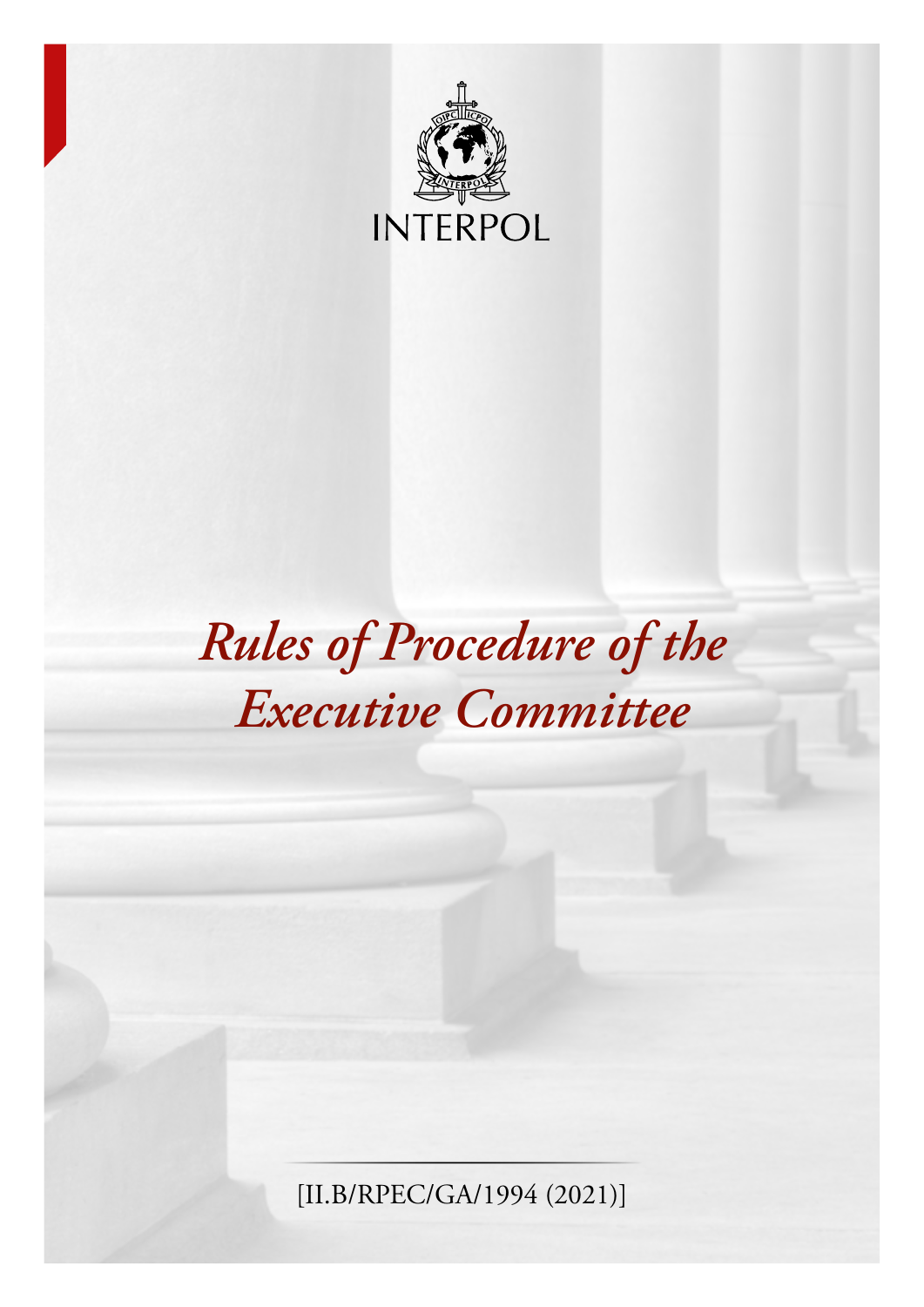

# *Rules of Procedure of the Executive Committee*

[II.B/RPEC/GA/1994 (2021)]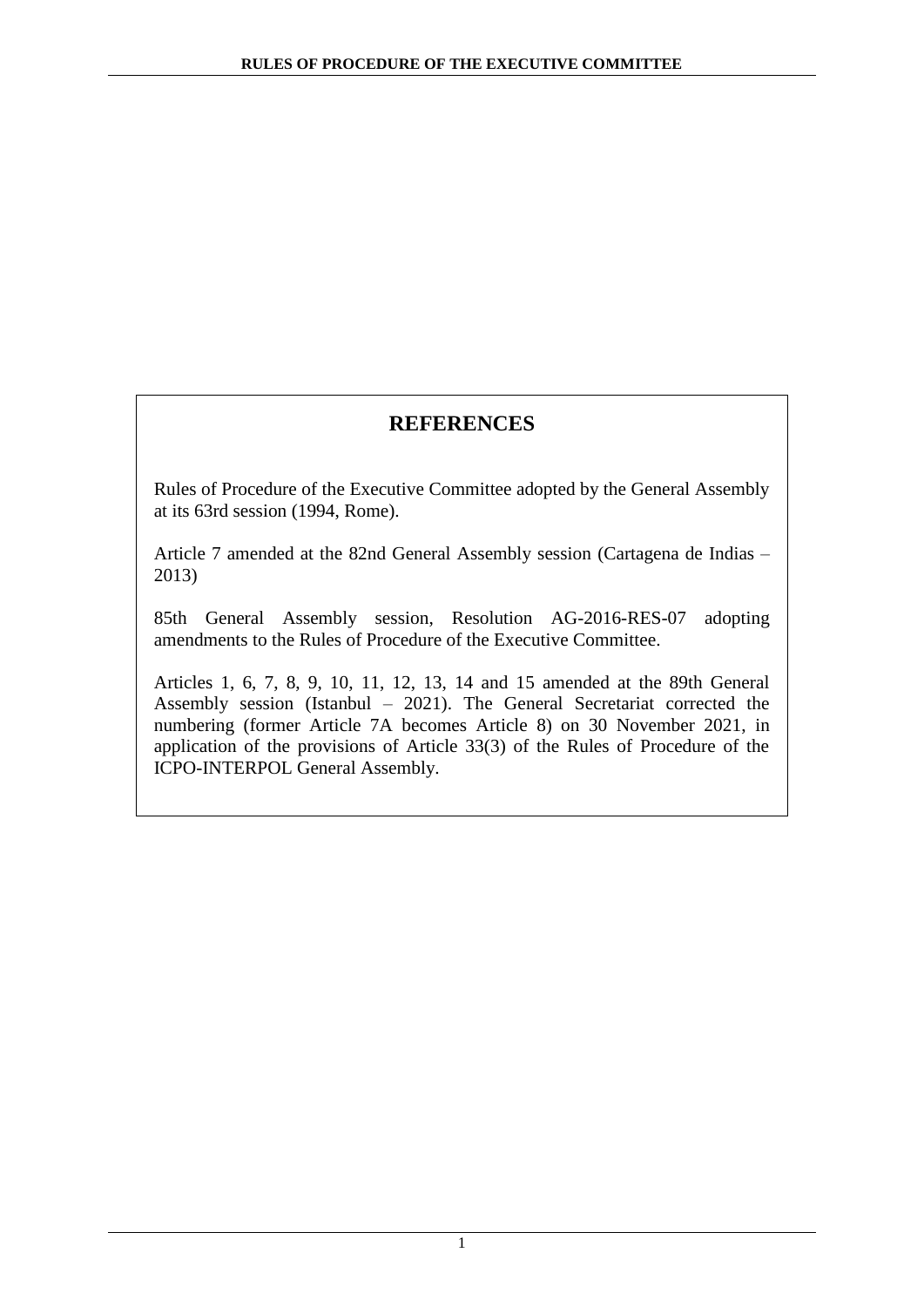# **REFERENCES**

Rules of Procedure of the Executive Committee adopted by the General Assembly at its 63rd session (1994, Rome).

Article 7 amended at the 82nd General Assembly session (Cartagena de Indias – 2013)

85th General Assembly session, Resolution AG-2016-RES-07 adopting amendments to the Rules of Procedure of the Executive Committee.

Articles 1, 6, 7, 8, 9, 10, 11, 12, 13, 14 and 15 amended at the 89th General Assembly session (Istanbul – 2021). The General Secretariat corrected the numbering (former Article 7A becomes Article 8) on 30 November 2021, in application of the provisions of Article 33(3) of the Rules of Procedure of the ICPO-INTERPOL General Assembly.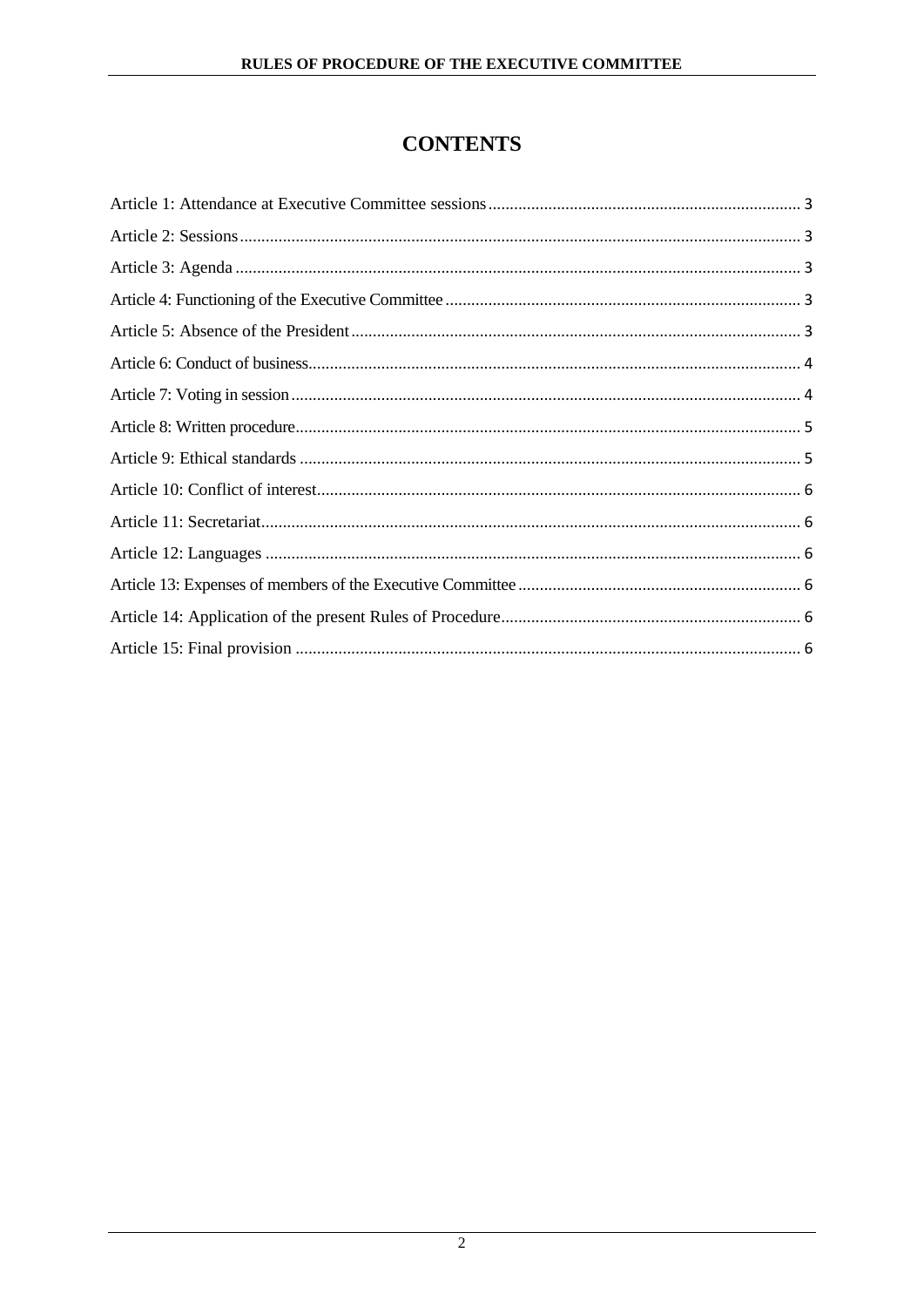# **CONTENTS**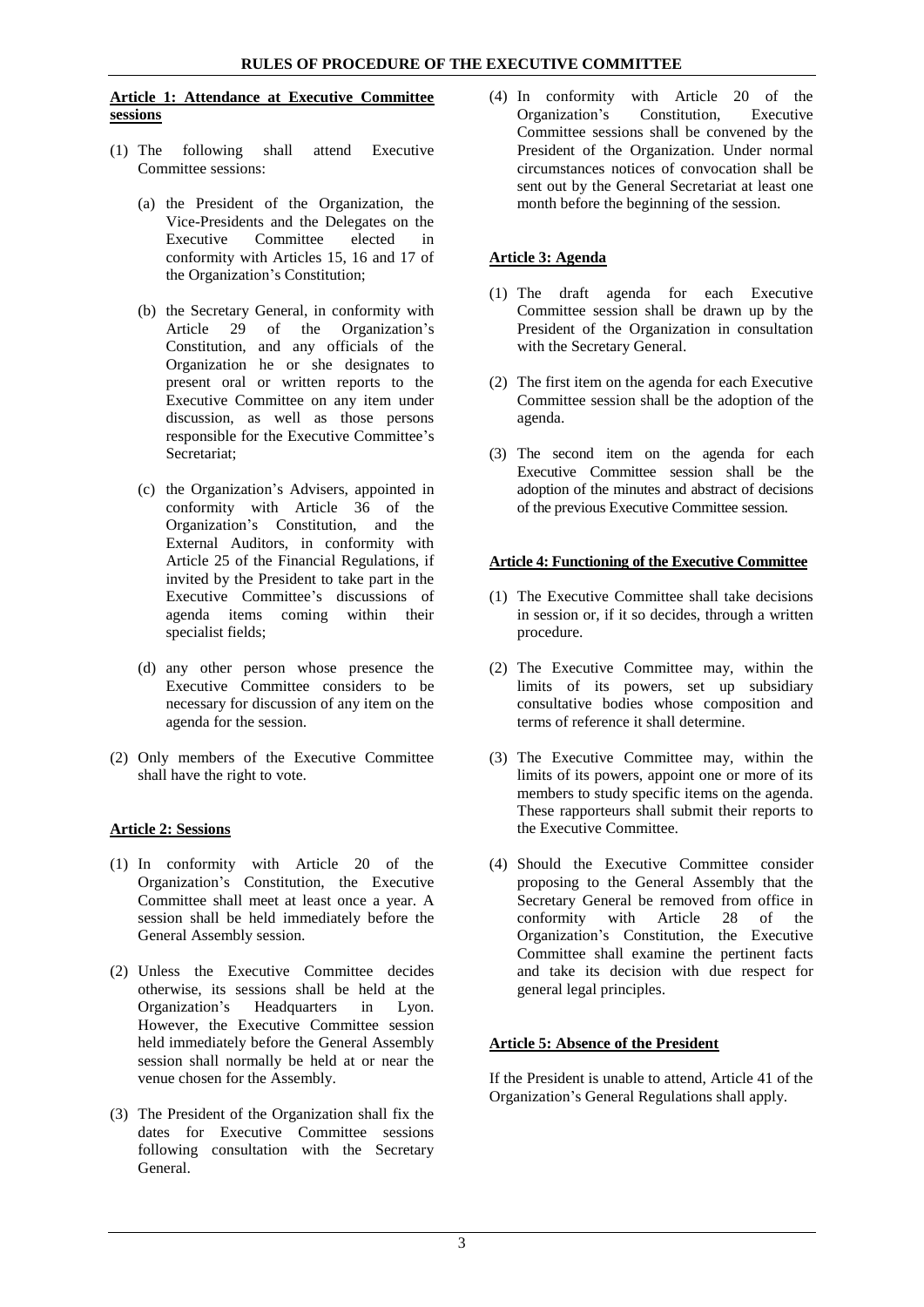#### <span id="page-3-0"></span>**Article 1: Attendance at Executive Committee sessions**

- (1) The following shall attend Executive Committee sessions:
	- (a) the President of the Organization, the Vice-Presidents and the Delegates on the Executive Committee elected in conformity with Articles 15, 16 and 17 of the Organization's Constitution;
	- (b) the Secretary General, in conformity with Article 29 of the Organization's Constitution, and any officials of the Organization he or she designates to present oral or written reports to the Executive Committee on any item under discussion, as well as those persons responsible for the Executive Committee's Secretariat;
	- (c) the Organization's Advisers, appointed in conformity with Article 36 of the Organization's Constitution, and the External Auditors, in conformity with Article 25 of the Financial Regulations, if invited by the President to take part in the Executive Committee's discussions of agenda items coming within their specialist fields;
	- (d) any other person whose presence the Executive Committee considers to be necessary for discussion of any item on the agenda for the session.
- (2) Only members of the Executive Committee shall have the right to vote.

# <span id="page-3-1"></span>**Article 2: Sessions**

- (1) In conformity with Article 20 of the Organization's Constitution, the Executive Committee shall meet at least once a year. A session shall be held immediately before the General Assembly session.
- (2) Unless the Executive Committee decides otherwise, its sessions shall be held at the Organization's Headquarters in Lyon. However, the Executive Committee session held immediately before the General Assembly session shall normally be held at or near the venue chosen for the Assembly.
- (3) The President of the Organization shall fix the dates for Executive Committee sessions following consultation with the Secretary General.

(4) In conformity with Article 20 of the Organization's Committee sessions shall be convened by the President of the Organization. Under normal circumstances notices of convocation shall be sent out by the General Secretariat at least one month before the beginning of the session.

# <span id="page-3-2"></span>**Article 3: Agenda**

- (1) The draft agenda for each Executive Committee session shall be drawn up by the President of the Organization in consultation with the Secretary General.
- (2) The first item on the agenda for each Executive Committee session shall be the adoption of the agenda.
- (3) The second item on the agenda for each Executive Committee session shall be the adoption of the minutes and abstract of decisions of the previous Executive Committee session.

### <span id="page-3-3"></span>**Article 4: Functioning of the Executive Committee**

- (1) The Executive Committee shall take decisions in session or, if it so decides, through a written procedure.
- (2) The Executive Committee may, within the limits of its powers, set up subsidiary consultative bodies whose composition and terms of reference it shall determine.
- (3) The Executive Committee may, within the limits of its powers, appoint one or more of its members to study specific items on the agenda. These rapporteurs shall submit their reports to the Executive Committee.
- (4) Should the Executive Committee consider proposing to the General Assembly that the Secretary General be removed from office in conformity with Article 28 of the Organization's Constitution, the Executive Committee shall examine the pertinent facts and take its decision with due respect for general legal principles.

# <span id="page-3-4"></span>**Article 5: Absence of the President**

If the President is unable to attend, Article 41 of the Organization's General Regulations shall apply.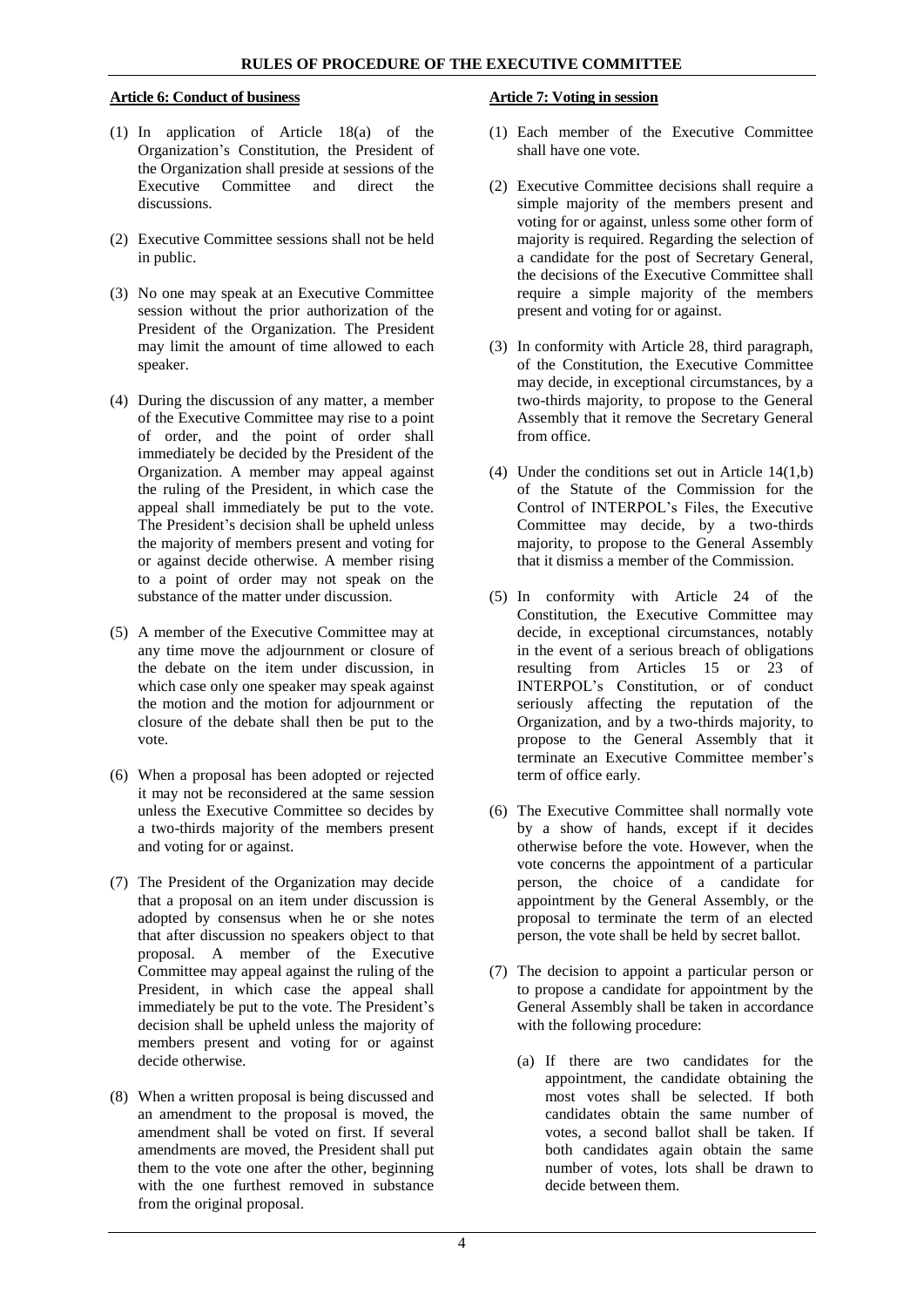### <span id="page-4-0"></span>**Article 6: Conduct of business**

- (1) In application of Article 18(a) of the Organization's Constitution, the President of the Organization shall preside at sessions of the<br>Executive Committee and direct the Committee and discussions.
- (2) Executive Committee sessions shall not be held in public.
- (3) No one may speak at an Executive Committee session without the prior authorization of the President of the Organization. The President may limit the amount of time allowed to each speaker.
- (4) During the discussion of any matter, a member of the Executive Committee may rise to a point of order, and the point of order shall immediately be decided by the President of the Organization. A member may appeal against the ruling of the President, in which case the appeal shall immediately be put to the vote. The President's decision shall be upheld unless the majority of members present and voting for or against decide otherwise. A member rising to a point of order may not speak on the substance of the matter under discussion.
- (5) A member of the Executive Committee may at any time move the adjournment or closure of the debate on the item under discussion, in which case only one speaker may speak against the motion and the motion for adjournment or closure of the debate shall then be put to the vote.
- (6) When a proposal has been adopted or rejected it may not be reconsidered at the same session unless the Executive Committee so decides by a two-thirds majority of the members present and voting for or against.
- (7) The President of the Organization may decide that a proposal on an item under discussion is adopted by consensus when he or she notes that after discussion no speakers object to that proposal. A member of the Executive Committee may appeal against the ruling of the President, in which case the appeal shall immediately be put to the vote. The President's decision shall be upheld unless the majority of members present and voting for or against decide otherwise.
- (8) When a written proposal is being discussed and an amendment to the proposal is moved, the amendment shall be voted on first. If several amendments are moved, the President shall put them to the vote one after the other, beginning with the one furthest removed in substance from the original proposal.

## <span id="page-4-1"></span>**Article 7: Voting in session**

- (1) Each member of the Executive Committee shall have one vote.
- (2) Executive Committee decisions shall require a simple majority of the members present and voting for or against, unless some other form of majority is required. Regarding the selection of a candidate for the post of Secretary General, the decisions of the Executive Committee shall require a simple majority of the members present and voting for or against.
- (3) In conformity with Article 28, third paragraph, of the Constitution, the Executive Committee may decide, in exceptional circumstances, by a two-thirds majority, to propose to the General Assembly that it remove the Secretary General from office.
- (4) Under the conditions set out in Article 14(1,b) of the Statute of the Commission for the Control of INTERPOL's Files, the Executive Committee may decide, by a two-thirds majority, to propose to the General Assembly that it dismiss a member of the Commission.
- (5) In conformity with Article 24 of the Constitution, the Executive Committee may decide, in exceptional circumstances, notably in the event of a serious breach of obligations resulting from Articles 15 or 23 of INTERPOL's Constitution, or of conduct seriously affecting the reputation of the Organization, and by a two-thirds majority, to propose to the General Assembly that it terminate an Executive Committee member's term of office early.
- (6) The Executive Committee shall normally vote by a show of hands, except if it decides otherwise before the vote. However, when the vote concerns the appointment of a particular person, the choice of a candidate for appointment by the General Assembly, or the proposal to terminate the term of an elected person, the vote shall be held by secret ballot.
- (7) The decision to appoint a particular person or to propose a candidate for appointment by the General Assembly shall be taken in accordance with the following procedure:
	- (a) If there are two candidates for the appointment, the candidate obtaining the most votes shall be selected. If both candidates obtain the same number of votes, a second ballot shall be taken. If both candidates again obtain the same number of votes, lots shall be drawn to decide between them.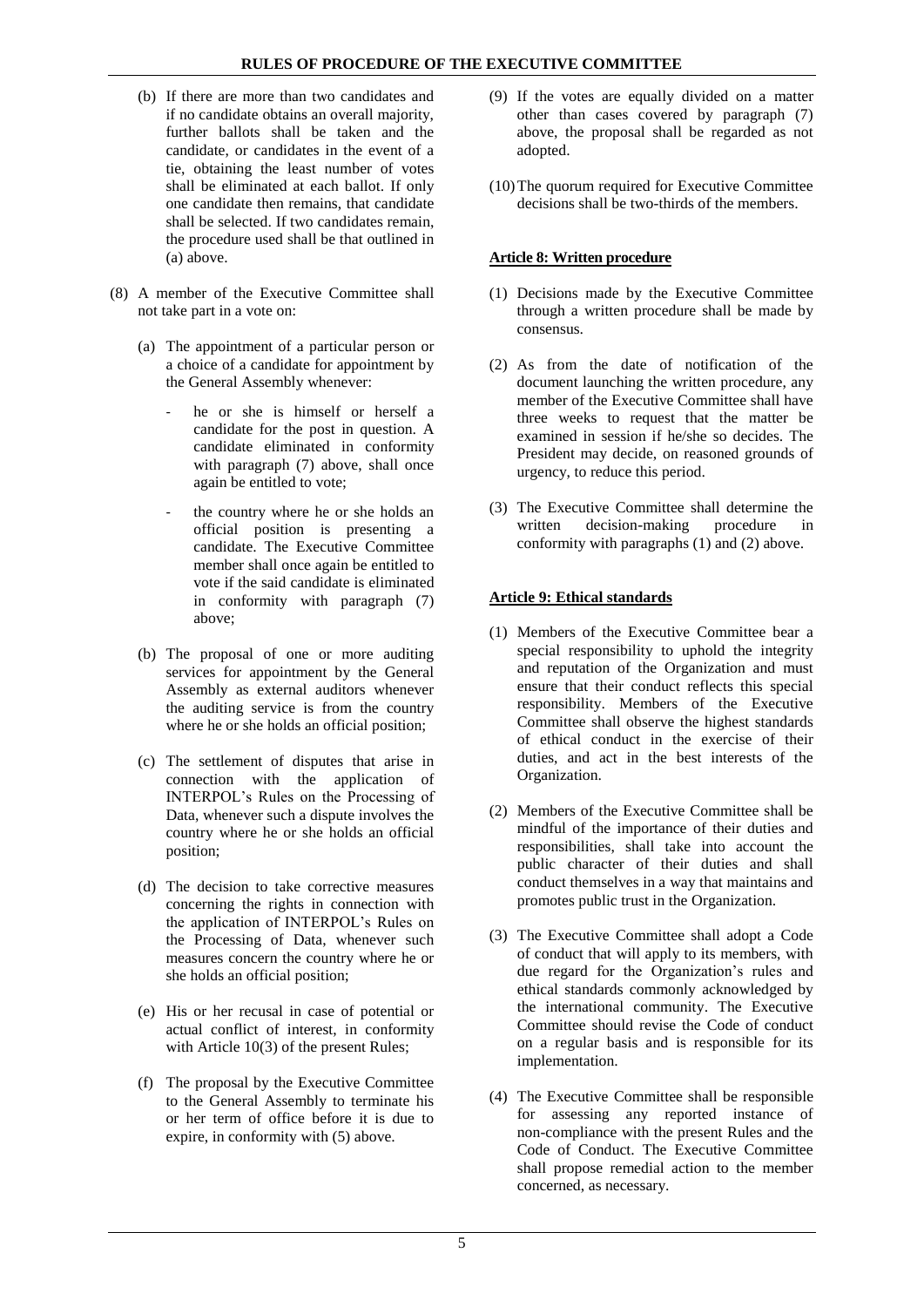- (b) If there are more than two candidates and if no candidate obtains an overall majority, further ballots shall be taken and the candidate, or candidates in the event of a tie, obtaining the least number of votes shall be eliminated at each ballot. If only one candidate then remains, that candidate shall be selected. If two candidates remain, the procedure used shall be that outlined in (a) above.
- (8) A member of the Executive Committee shall not take part in a vote on:
	- (a) The appointment of a particular person or a choice of a candidate for appointment by the General Assembly whenever:
		- he or she is himself or herself a candidate for the post in question. A candidate eliminated in conformity with paragraph (7) above, shall once again be entitled to vote;
		- the country where he or she holds an official position is presenting a candidate. The Executive Committee member shall once again be entitled to vote if the said candidate is eliminated in conformity with paragraph (7) above;
	- (b) The proposal of one or more auditing services for appointment by the General Assembly as external auditors whenever the auditing service is from the country where he or she holds an official position;
	- (c) The settlement of disputes that arise in connection with the application of INTERPOL's Rules on the Processing of Data, whenever such a dispute involves the country where he or she holds an official position;
	- (d) The decision to take corrective measures concerning the rights in connection with the application of INTERPOL's Rules on the Processing of Data, whenever such measures concern the country where he or she holds an official position;
	- (e) His or her recusal in case of potential or actual conflict of interest, in conformity with Article 10(3) of the present Rules;
	- (f) The proposal by the Executive Committee to the General Assembly to terminate his or her term of office before it is due to expire, in conformity with (5) above.
- (9) If the votes are equally divided on a matter other than cases covered by paragraph (7) above, the proposal shall be regarded as not adopted.
- (10)The quorum required for Executive Committee decisions shall be two-thirds of the members.

# <span id="page-5-0"></span>**Article 8: Written procedure**

- (1) Decisions made by the Executive Committee through a written procedure shall be made by consensus.
- (2) As from the date of notification of the document launching the written procedure, any member of the Executive Committee shall have three weeks to request that the matter be examined in session if he/she so decides. The President may decide, on reasoned grounds of urgency, to reduce this period.
- (3) The Executive Committee shall determine the written decision-making procedure in written decision-making procedure in conformity with paragraphs (1) and (2) above.

# <span id="page-5-1"></span>**Article 9: Ethical standards**

- (1) Members of the Executive Committee bear a special responsibility to uphold the integrity and reputation of the Organization and must ensure that their conduct reflects this special responsibility. Members of the Executive Committee shall observe the highest standards of ethical conduct in the exercise of their duties, and act in the best interests of the Organization.
- (2) Members of the Executive Committee shall be mindful of the importance of their duties and responsibilities, shall take into account the public character of their duties and shall conduct themselves in a way that maintains and promotes public trust in the Organization.
- (3) The Executive Committee shall adopt a Code of conduct that will apply to its members, with due regard for the Organization's rules and ethical standards commonly acknowledged by the international community. The Executive Committee should revise the Code of conduct on a regular basis and is responsible for its implementation.
- (4) The Executive Committee shall be responsible for assessing any reported instance of non-compliance with the present Rules and the Code of Conduct. The Executive Committee shall propose remedial action to the member concerned, as necessary.